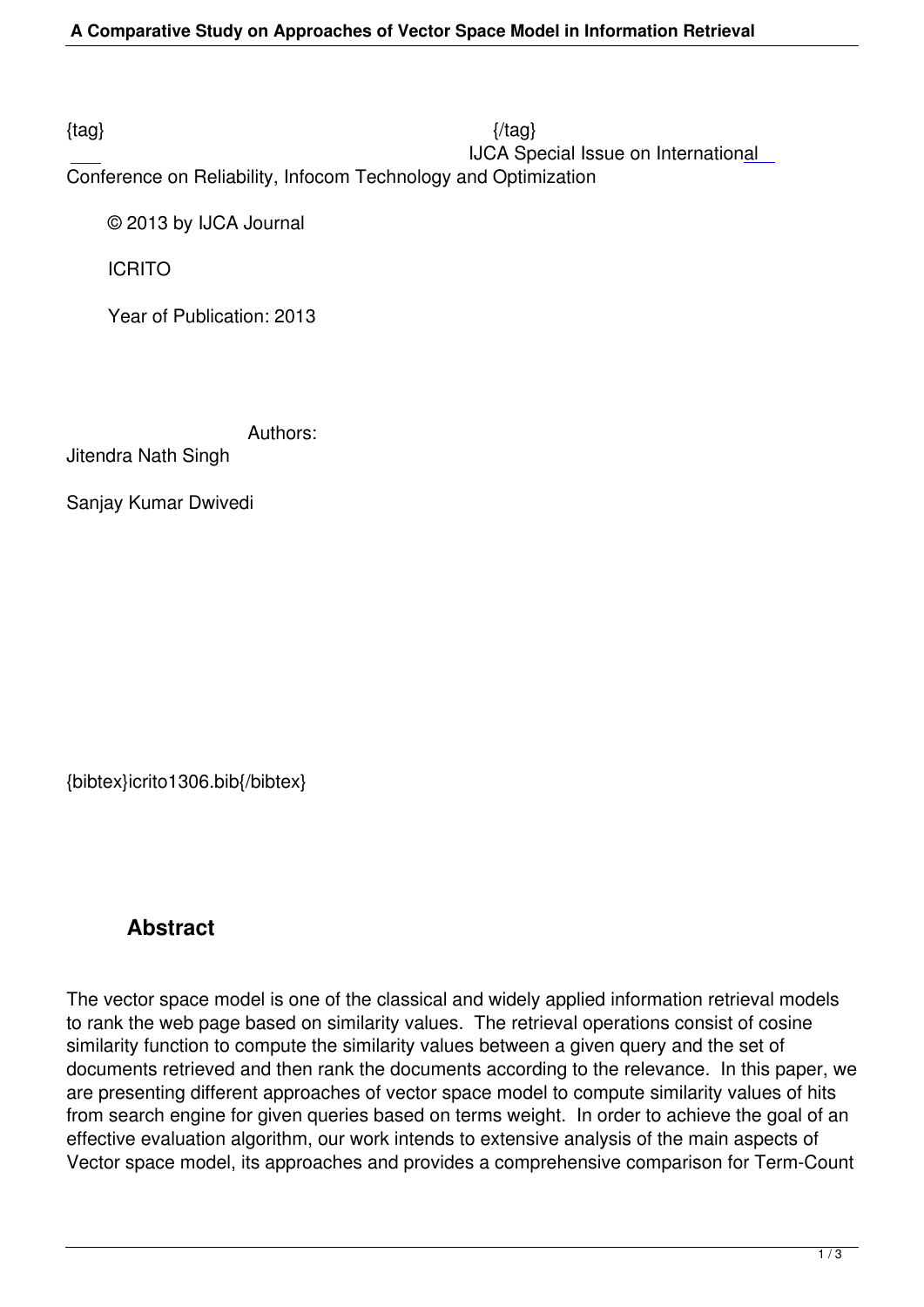$\{tag\}$ IJCA Special Issue on International

Conference on Reliability, Infocom Technology and Optimization

© 2013 by IJCA Journal

ICRITO

Year of Publication: 2013

Authors:

Jitendra Nath Singh

Sanjay Kumar Dwivedi

{bibtex}icrito1306.bib{/bibtex}

## **Abstract**

The vector space model is one of the classical and widely applied information retrieval models to rank the web page based on similarity values. The retrieval operations consist of cosine similarity function to compute the similarity values between a given query and the set of documents retrieved and then rank the documents according to the relevance. In this paper, we are presenting different approaches of vector space model to compute similarity values of hits from search engine for given queries based on terms weight. In order to achieve the goal of an effective evaluation algorithm, our work intends to extensive analysis of the main aspects of Vector space model, its approaches and provides a comprehensive comparison for Term-Count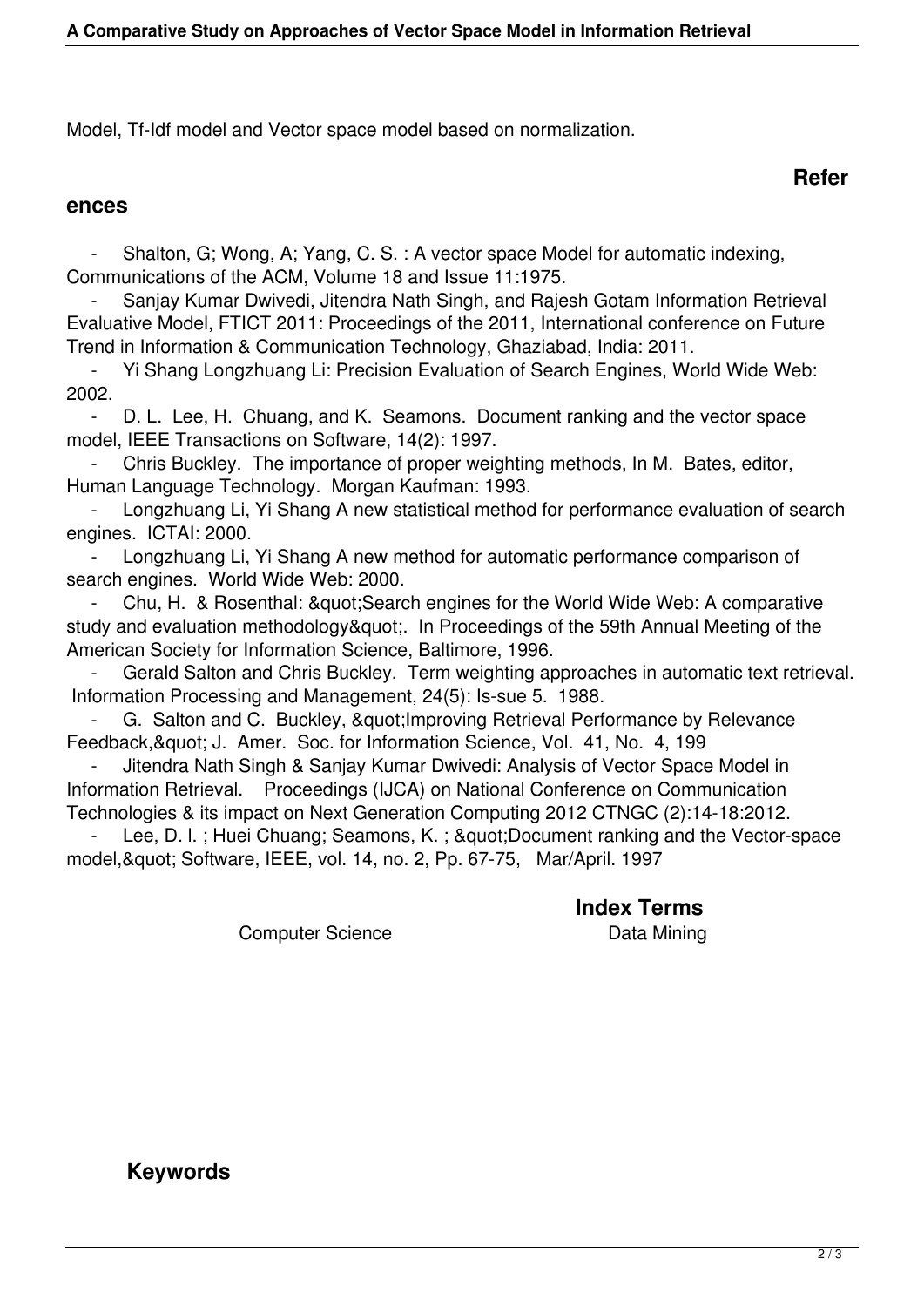Model, Tf-Idf model and Vector space model based on normalization.

## **Refer**

## **ences**

Shalton, G; Wong, A; Yang, C. S. : A vector space Model for automatic indexing, Communications of the ACM, Volume 18 and Issue 11:1975.

 - Sanjay Kumar Dwivedi, Jitendra Nath Singh, and Rajesh Gotam Information Retrieval Evaluative Model, FTICT 2011: Proceedings of the 2011, International conference on Future Trend in Information & Communication Technology, Ghaziabad, India: 2011.

 - Yi Shang Longzhuang Li: Precision Evaluation of Search Engines, World Wide Web: 2002.

D. L. Lee, H. Chuang, and K. Seamons. Document ranking and the vector space model, IEEE Transactions on Software, 14(2): 1997.

 - Chris Buckley. The importance of proper weighting methods, In M. Bates, editor, Human Language Technology. Morgan Kaufman: 1993.

Longzhuang Li, Yi Shang A new statistical method for performance evaluation of search engines. ICTAI: 2000.

Longzhuang Li, Yi Shang A new method for automatic performance comparison of search engines. World Wide Web: 2000.

Chu, H. & Rosenthal: & quot; Search engines for the World Wide Web: A comparative study and evaluation methodology&quot: In Proceedings of the 59th Annual Meeting of the American Society for Information Science, Baltimore, 1996.

 - Gerald Salton and Chris Buckley. Term weighting approaches in automatic text retrieval. Information Processing and Management, 24(5): Is-sue 5. 1988.

G. Salton and C. Buckley, " Improving Retrieval Performance by Relevance Feedback, & quot; J. Amer. Soc. for Information Science, Vol. 41, No. 4, 199

 - Jitendra Nath Singh & Sanjay Kumar Dwivedi: Analysis of Vector Space Model in Information Retrieval. Proceedings (IJCA) on National Conference on Communication Technologies & its impact on Next Generation Computing 2012 CTNGC (2):14-18:2012.

Lee, D. l.; Huei Chuang; Seamons, K.; "Document ranking and the Vector-space model, & quot; Software, IEEE, vol. 14, no. 2, Pp. 67-75, Mar/April. 1997

**Index Terms** 

Computer Science **Data Mining** 

 **Keywords**